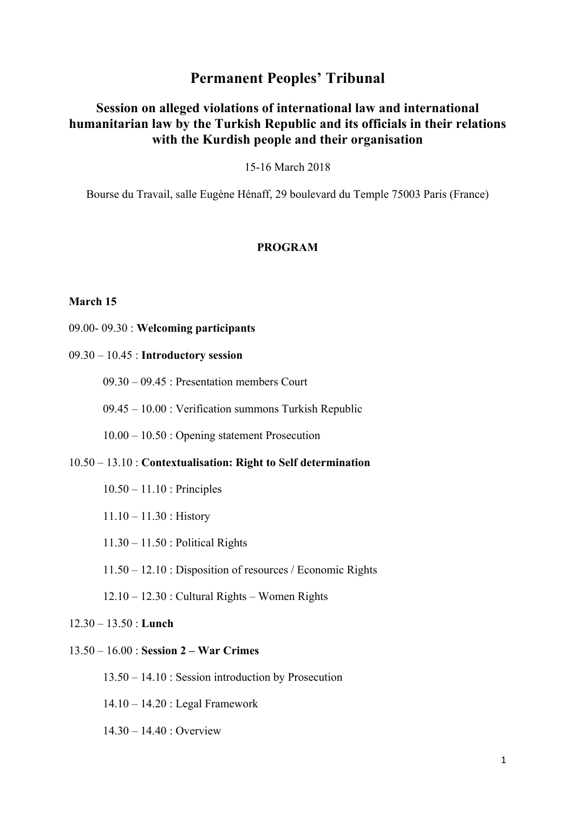# **Permanent Peoples' Tribunal**

## **Session on alleged violations of international law and international humanitarian law by the Turkish Republic and its officials in their relations with the Kurdish people and their organisation**

15-16 March 2018

Bourse du Travail, salle Eugène Hénaff, 29 boulevard du Temple 75003 Paris (France)

### **PROGRAM**

#### **March 15**

- 09.00- 09.30 : **Welcoming participants**
- 09.30 10.45 : **Introductory session** 
	- 09.30 09.45 : Presentation members Court
	- 09.45 10.00 : Verification summons Turkish Republic
	- 10.00 10.50 : Opening statement Prosecution
- 10.50 13.10 : **Contextualisation: Right to Self determination**
	- 10.50 11.10 : Principles
	- 11.10 11.30 : History
	- 11.30 11.50 : Political Rights
	- 11.50 12.10 : Disposition of resources / Economic Rights
	- $12.10 12.30$ : Cultural Rights Women Rights
- 12.30 13.50 : **Lunch**
- 13.50 16.00 : **Session 2 – War Crimes**
	- 13.50 14.10 : Session introduction by Prosecution
	- 14.10 14.20 : Legal Framework
	- 14.30 14.40 : Overview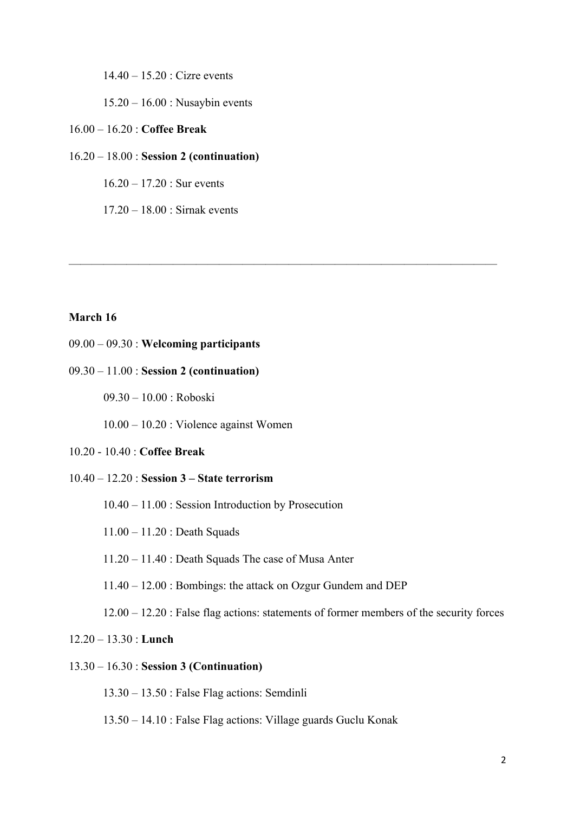14.40 – 15.20 : Cizre events

15.20 – 16.00 : Nusaybin events

#### 16.00 – 16.20 : **Coffee Break**

### 16.20 – 18.00 : **Session 2 (continuation)**

 $16.20 - 17.20$ : Sur events

17.20 – 18.00 : Sirnak events

### **March 16**

## 09.00 – 09.30 : **Welcoming participants**

#### 09.30 – 11.00 : **Session 2 (continuation)**

09.30 – 10.00 : Roboski

10.00 – 10.20 : Violence against Women

#### 10.20 - 10.40 : **Coffee Break**

#### 10.40 – 12.20 : **Session 3 – State terrorism**

- 10.40 11.00 : Session Introduction by Prosecution
- 11.00 11.20 : Death Squads
- 11.20 11.40 : Death Squads The case of Musa Anter
- 11.40 12.00 : Bombings: the attack on Ozgur Gundem and DEP

12.00 – 12.20 : False flag actions: statements of former members of the security forces

—————————————————————————————————————

## 12.20 – 13.30 : **Lunch**

## 13.30 – 16.30 : **Session 3 (Continuation)**

13.30 – 13.50 : False Flag actions: Semdinli

13.50 – 14.10 : False Flag actions: Village guards Guclu Konak